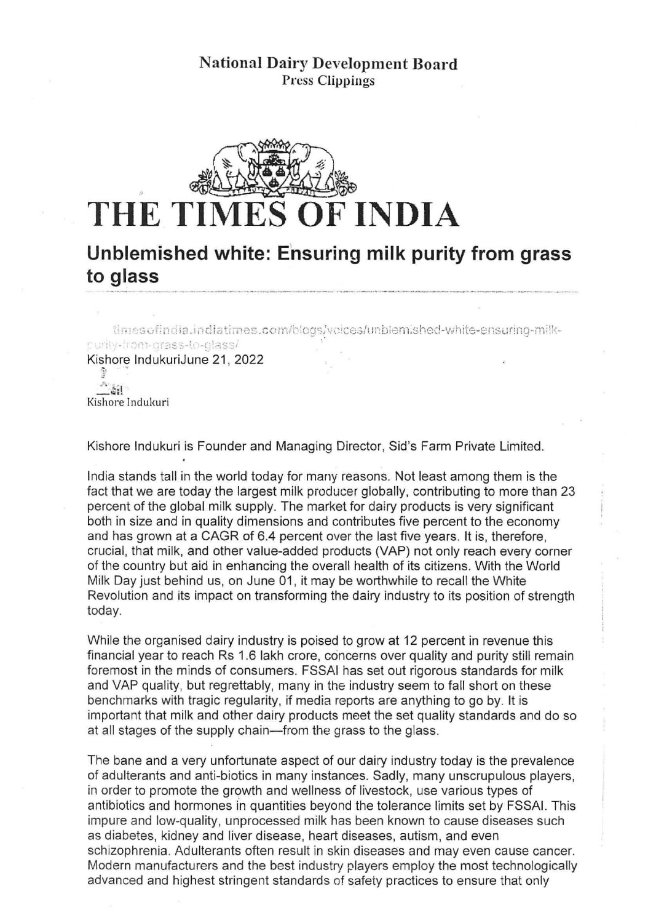

## **Unblemished white: Ensuring milk purity from grass to glass**

timesofindia.indiatimes.com/blogs/voices/unbiemished-white-ensuring-milkpurity-from-grass-to-glass/

Kishore IndukuriJune 21, 2022

 $\sim$   $\frac{1}{2}$  . Kishore lndukuri

Kishore Indukuri is Founder and Managing Director, Sid's Farm Private Limited.

India stands tall in the world today for many reasons. Not least among them is the fact that we are today the largest milk producer globally, contributing to more than 23 percent of the global milk supply. The market for dairy products is very significant both in size and in quality dimensions and contributes five percent to the economy and has grown at a CAGR of 6.4 percent over the last five years. It is, therefore, crucial, that milk, and other value-added products (VAP) not only reach every corner of the country but aid in enhancing the overall health of its citizens. With the World Milk Day just behind us, on June 01, it may be worthwhile to recall the White Revolution and its impact on transforming the dairy industry to its position of strength today.

While the organised dairy industry is poised to grow at 12 percent in revenue this financial year to reach Rs 1.6 lakh crore, concerns over quality and purity still remain foremost in the minds of consumers. FSSAI has set out rigorous standards for milk and YAP quality, but regrettably, many in the industry seem to fall short on these benchmarks with tragic regularity, if media reports are anything to go by. It is important that milk and other dairy products meet the set quality standards and do so at all stages of the supply chain-from the grass to the glass.

The bane and a very unfortunate aspect of our dairy industry today is the prevalence of adulterants and anti-biotics in many instances. Sadly, many unscrupulous players, in order to promote the growth and wellness of livestock, use various types of antibiotics and hormones in quantities beyond the tolerance limits set by FSSAI. This impure and low-quality, unprocessed milk has been known to cause diseases such as diabetes, kidney and liver disease, heart diseases, autism, and even schizophrenia. Adulterants often result in skin diseases and may even cause cancer. Modern manufacturers and the best industry players employ the most technologically advanced and highest stringent standards of safeiy practices to ensure that only